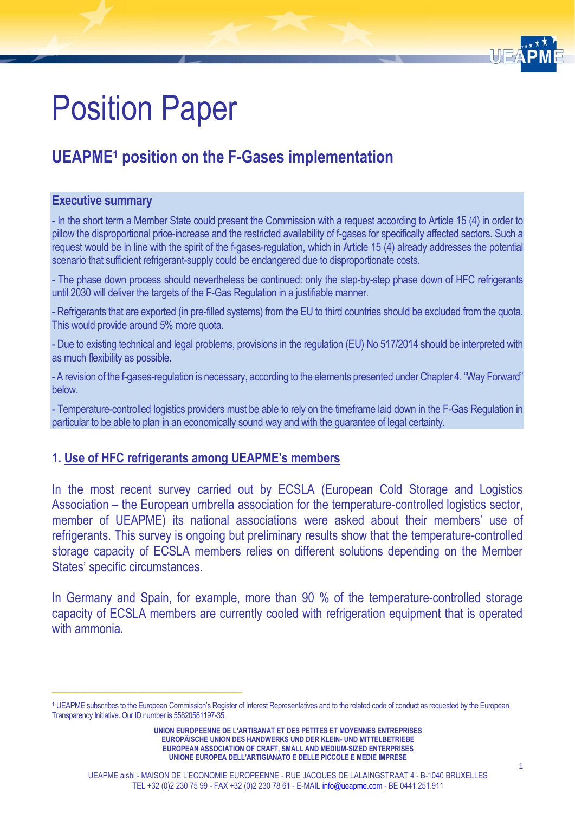

# Position Paper

# **UEAPME<sup>1</sup> position on the F-Gases implementation**

#### **Executive summary**

- In the short term a Member State could present the Commission with a request according to Article 15 (4) in order to pillow the disproportional price-increase and the restricted availability of f-gases for specifically affected sectors. Such a request would be in line with the spirit of the f-gases-regulation, which in Article 15 (4) already addresses the potential scenario that sufficient refrigerant-supply could be endangered due to disproportionate costs.

- The phase down process should nevertheless be continued: only the step-by-step phase down of HFC refrigerants until 2030 will deliver the targets of the F-Gas Regulation in a justifiable manner.

- Refrigerants that are exported (in pre-filled systems) from the EU to third countries should be excluded from the quota. This would provide around 5% more quota.

- Due to existing technical and legal problems, provisions in the regulation (EU) No 517/2014 should be interpreted with as much flexibility as possible.

- A revision of the f-gases-regulation is necessary, according to the elements presented under Chapter 4. "Way Forward" below.

- Temperature-controlled logistics providers must be able to rely on the timeframe laid down in the F-Gas Regulation in particular to be able to plan in an economically sound way and with the guarantee of legal certainty.

# **1. Use of HFC refrigerants among UEAPME's members**

*\_\_\_\_\_\_\_\_\_\_\_\_\_\_\_\_\_\_\_\_\_\_\_\_\_\_\_*

In the most recent survey carried out by ECSLA (European Cold Storage and Logistics Association – the European umbrella association for the temperature-controlled logistics sector, member of UEAPME) its national associations were asked about their members' use of refrigerants. This survey is ongoing but preliminary results show that the temperature-controlled storage capacity of ECSLA members relies on different solutions depending on the Member States' specific circumstances.

In Germany and Spain, for example, more than 90 % of the temperature-controlled storage capacity of ECSLA members are currently cooled with refrigeration equipment that is operated with ammonia.

<sup>1</sup> UEAPME subscribes to the European Commission's Register of Interest Representatives and to the related code of conduct as requested by the European Transparency Initiative. Our ID number i[s 55820581197-35.](https://webgate.ec.europa.eu/transparency/regrin/consultation/displaylobbyist.do?id=55820581197-35&locale=en#en)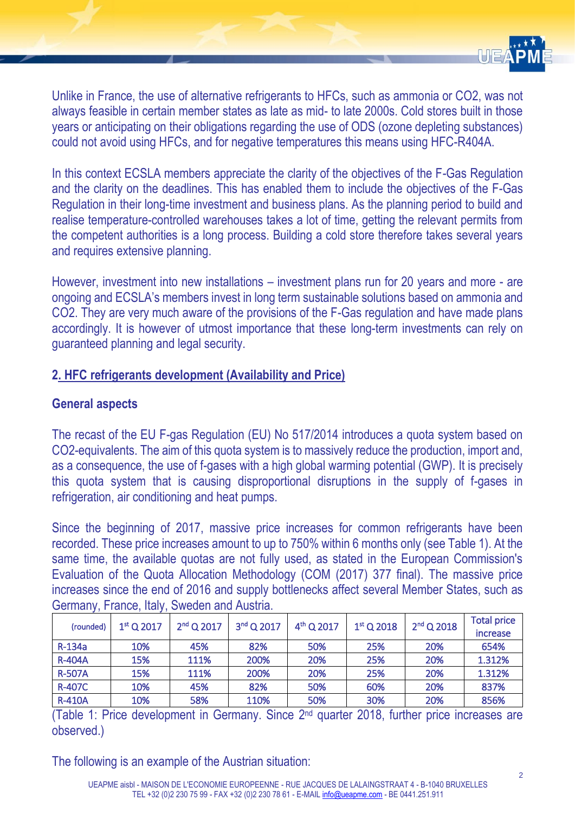

Unlike in France, the use of alternative refrigerants to HFCs, such as ammonia or CO2, was not always feasible in certain member states as late as mid- to late 2000s. Cold stores built in those years or anticipating on their obligations regarding the use of ODS (ozone depleting substances) could not avoid using HFCs, and for negative temperatures this means using HFC-R404A.

In this context ECSLA members appreciate the clarity of the objectives of the F-Gas Regulation and the clarity on the deadlines. This has enabled them to include the objectives of the F-Gas Regulation in their long-time investment and business plans. As the planning period to build and realise temperature-controlled warehouses takes a lot of time, getting the relevant permits from the competent authorities is a long process. Building a cold store therefore takes several years and requires extensive planning.

However, investment into new installations – investment plans run for 20 years and more - are ongoing and ECSLA's members invest in long term sustainable solutions based on ammonia and CO2. They are very much aware of the provisions of the F-Gas regulation and have made plans accordingly. It is however of utmost importance that these long-term investments can rely on guaranteed planning and legal security.

#### **2. HFC refrigerants development (Availability and Price)**

#### **General aspects**

The recast of the EU F-gas Regulation (EU) No 517/2014 introduces a quota system based on CO2-equivalents. The aim of this quota system is to massively reduce the production, import and, as a consequence, the use of f-gases with a high global warming potential (GWP). It is precisely this quota system that is causing disproportional disruptions in the supply of f-gases in refrigeration, air conditioning and heat pumps.

Since the beginning of 2017, massive price increases for common refrigerants have been recorded. These price increases amount to up to 750% within 6 months only (see Table 1). At the same time, the available quotas are not fully used, as stated in the European Commission's Evaluation of the Quota Allocation Methodology (COM (2017) 377 final). The massive price increases since the end of 2016 and supply bottlenecks affect several Member States, such as Germany, France, Italy, Sweden and Austria.

| (rounded)     | $1st$ Q 2017 | $2nd$ Q 2017 | $3nd$ Q 2017 | $4^{th}$ Q 2017 | $1st$ Q 2018 | $2nd$ Q 2018 | <b>Total price</b> |
|---------------|--------------|--------------|--------------|-----------------|--------------|--------------|--------------------|
|               |              |              |              |                 |              |              | <i>increase</i>    |
| R-134a        | 10%          | 45%          | 82%          | 50%             | 25%          | <b>20%</b>   | 654%               |
| <b>R-404A</b> | 15%          | 111%         | 200%         | 20%             | 25%          | 20%          | 1.312%             |
| <b>R-507A</b> | 15%          | 111%         | 200%         | 20%             | 25%          | 20%          | 1.312%             |
| <b>R-407C</b> | 10%          | 45%          | 82%          | 50%             | 60%          | 20%          | 837%               |
| <b>R-410A</b> | 10%          | 58%          | 110%         | 50%             | 30%          | 20%          | 856%               |

(Table 1: Price development in Germany. Since 2 nd quarter 2018, further price increases are observed.)

The following is an example of the Austrian situation: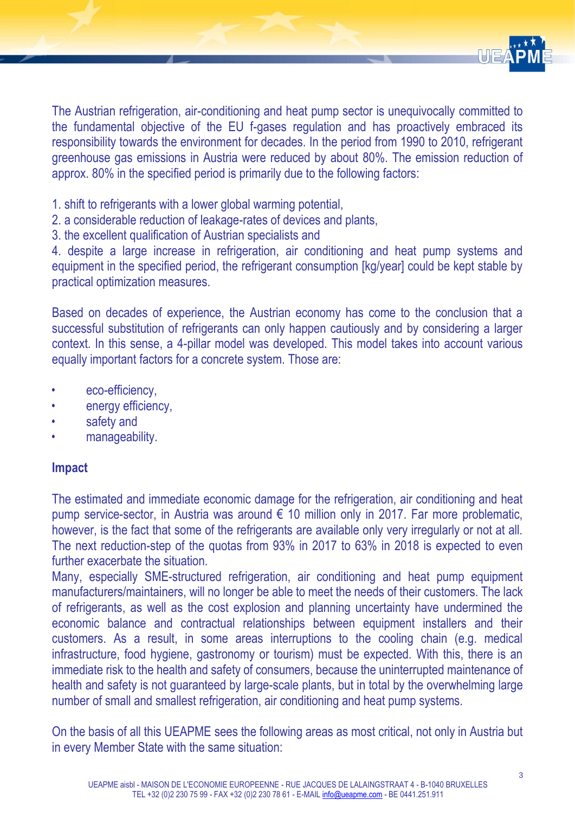

The Austrian refrigeration, air-conditioning and heat pump sector is unequivocally committed to the fundamental objective of the EU f-gases regulation and has proactively embraced its responsibility towards the environment for decades. In the period from 1990 to 2010, refrigerant greenhouse gas emissions in Austria were reduced by about 80%. The emission reduction of approx. 80% in the specified period is primarily due to the following factors:

- 1. shift to refrigerants with a lower global warming potential,
- 2. a considerable reduction of leakage-rates of devices and plants,
- 3. the excellent qualification of Austrian specialists and

4. despite a large increase in refrigeration, air conditioning and heat pump systems and equipment in the specified period, the refrigerant consumption [kg/year] could be kept stable by practical optimization measures.

Based on decades of experience, the Austrian economy has come to the conclusion that a successful substitution of refrigerants can only happen cautiously and by considering a larger context. In this sense, a 4-pillar model was developed. This model takes into account various equally important factors for a concrete system. Those are:

- eco-efficiency,
- energy efficiency,
- safety and
- manageability.

#### **Impact**

The estimated and immediate economic damage for the refrigeration, air conditioning and heat pump service-sector, in Austria was around  $\epsilon$  10 million only in 2017. Far more problematic, however, is the fact that some of the refrigerants are available only very irregularly or not at all. The next reduction-step of the quotas from 93% in 2017 to 63% in 2018 is expected to even further exacerbate the situation.

Many, especially SME-structured refrigeration, air conditioning and heat pump equipment manufacturers/maintainers, will no longer be able to meet the needs of their customers. The lack of refrigerants, as well as the cost explosion and planning uncertainty have undermined the economic balance and contractual relationships between equipment installers and their customers. As a result, in some areas interruptions to the cooling chain (e.g. medical infrastructure, food hygiene, gastronomy or tourism) must be expected. With this, there is an immediate risk to the health and safety of consumers, because the uninterrupted maintenance of health and safety is not guaranteed by large-scale plants, but in total by the overwhelming large number of small and smallest refrigeration, air conditioning and heat pump systems.

On the basis of all this UEAPME sees the following areas as most critical, not only in Austria but in every Member State with the same situation: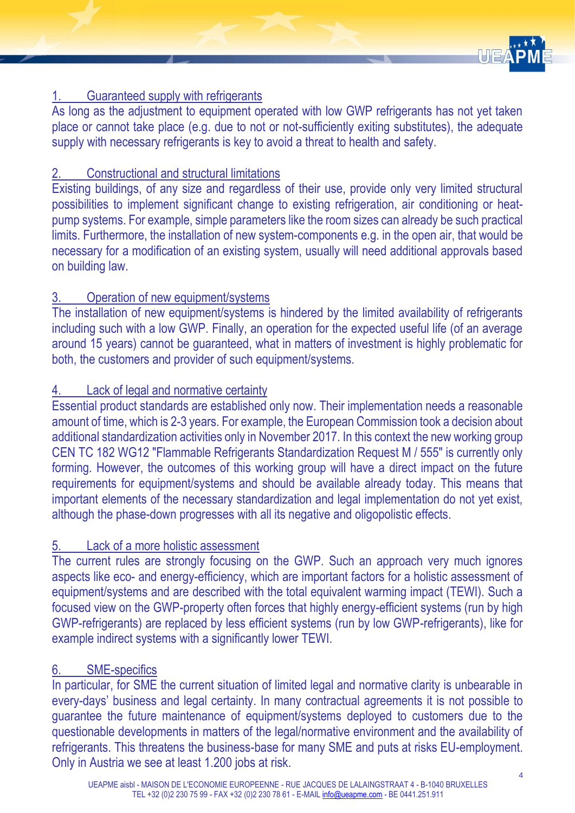

# 1. Guaranteed supply with refrigerants

As long as the adjustment to equipment operated with low GWP refrigerants has not yet taken place or cannot take place (e.g. due to not or not-sufficiently exiting substitutes), the adequate supply with necessary refrigerants is key to avoid a threat to health and safety.

#### 2. Constructional and structural limitations

Existing buildings, of any size and regardless of their use, provide only very limited structural possibilities to implement significant change to existing refrigeration, air conditioning or heatpump systems. For example, simple parameters like the room sizes can already be such practical limits. Furthermore, the installation of new system-components e.g. in the open air, that would be necessary for a modification of an existing system, usually will need additional approvals based on building law.

# 3. Operation of new equipment/systems

The installation of new equipment/systems is hindered by the limited availability of refrigerants including such with a low GWP. Finally, an operation for the expected useful life (of an average around 15 years) cannot be guaranteed, what in matters of investment is highly problematic for both, the customers and provider of such equipment/systems.

# Lack of legal and normative certainty

Essential product standards are established only now. Their implementation needs a reasonable amount of time, which is 2-3 years. For example, the European Commission took a decision about additional standardization activities only in November 2017. In this context the new working group CEN TC 182 WG12 "Flammable Refrigerants Standardization Request M / 555" is currently only forming. However, the outcomes of this working group will have a direct impact on the future requirements for equipment/systems and should be available already today. This means that important elements of the necessary standardization and legal implementation do not yet exist, although the phase-down progresses with all its negative and oligopolistic effects.

# 5. Lack of a more holistic assessment

The current rules are strongly focusing on the GWP. Such an approach very much ignores aspects like eco- and energy-efficiency, which are important factors for a holistic assessment of equipment/systems and are described with the total equivalent warming impact (TEWI). Such a focused view on the GWP-property often forces that highly energy-efficient systems (run by high GWP-refrigerants) are replaced by less efficient systems (run by low GWP-refrigerants), like for example indirect systems with a significantly lower TEWI.

# 6. SME-specifics

In particular, for SME the current situation of limited legal and normative clarity is unbearable in every-days' business and legal certainty. In many contractual agreements it is not possible to guarantee the future maintenance of equipment/systems deployed to customers due to the questionable developments in matters of the legal/normative environment and the availability of refrigerants. This threatens the business-base for many SME and puts at risks EU-employment. Only in Austria we see at least 1.200 jobs at risk.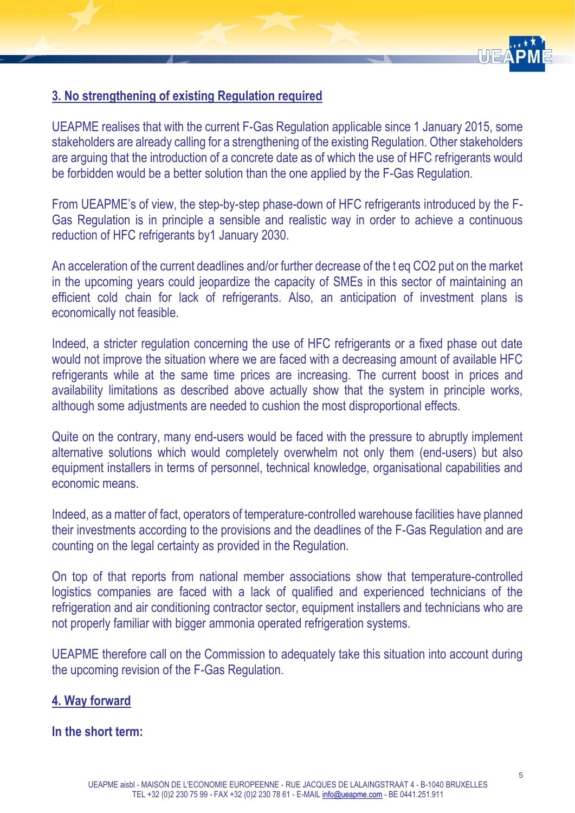

# **3. No strengthening of existing Regulation required**

UEAPME realises that with the current F-Gas Regulation applicable since 1 January 2015, some stakeholders are already calling for a strengthening of the existing Regulation. Other stakeholders are arguing that the introduction of a concrete date as of which the use of HFC refrigerants would be forbidden would be a better solution than the one applied by the F-Gas Regulation.

From UEAPME's of view, the step-by-step phase-down of HFC refrigerants introduced by the F-Gas Regulation is in principle a sensible and realistic way in order to achieve a continuous reduction of HFC refrigerants by1 January 2030.

An acceleration of the current deadlines and/or further decrease of the t eq CO2 put on the market in the upcoming years could jeopardize the capacity of SMEs in this sector of maintaining an efficient cold chain for lack of refrigerants. Also, an anticipation of investment plans is economically not feasible.

Indeed, a stricter regulation concerning the use of HFC refrigerants or a fixed phase out date would not improve the situation where we are faced with a decreasing amount of available HFC refrigerants while at the same time prices are increasing. The current boost in prices and availability limitations as described above actually show that the system in principle works, although some adjustments are needed to cushion the most disproportional effects.

Quite on the contrary, many end-users would be faced with the pressure to abruptly implement alternative solutions which would completely overwhelm not only them (end-users) but also equipment installers in terms of personnel, technical knowledge, organisational capabilities and economic means.

Indeed, as a matter of fact, operators of temperature-controlled warehouse facilities have planned their investments according to the provisions and the deadlines of the F-Gas Regulation and are counting on the legal certainty as provided in the Regulation.

On top of that reports from national member associations show that temperature-controlled logistics companies are faced with a lack of qualified and experienced technicians of the refrigeration and air conditioning contractor sector, equipment installers and technicians who are not properly familiar with bigger ammonia operated refrigeration systems.

UEAPME therefore call on the Commission to adequately take this situation into account during the upcoming revision of the F-Gas Regulation.

#### **4. Way forward**

**In the short term:**